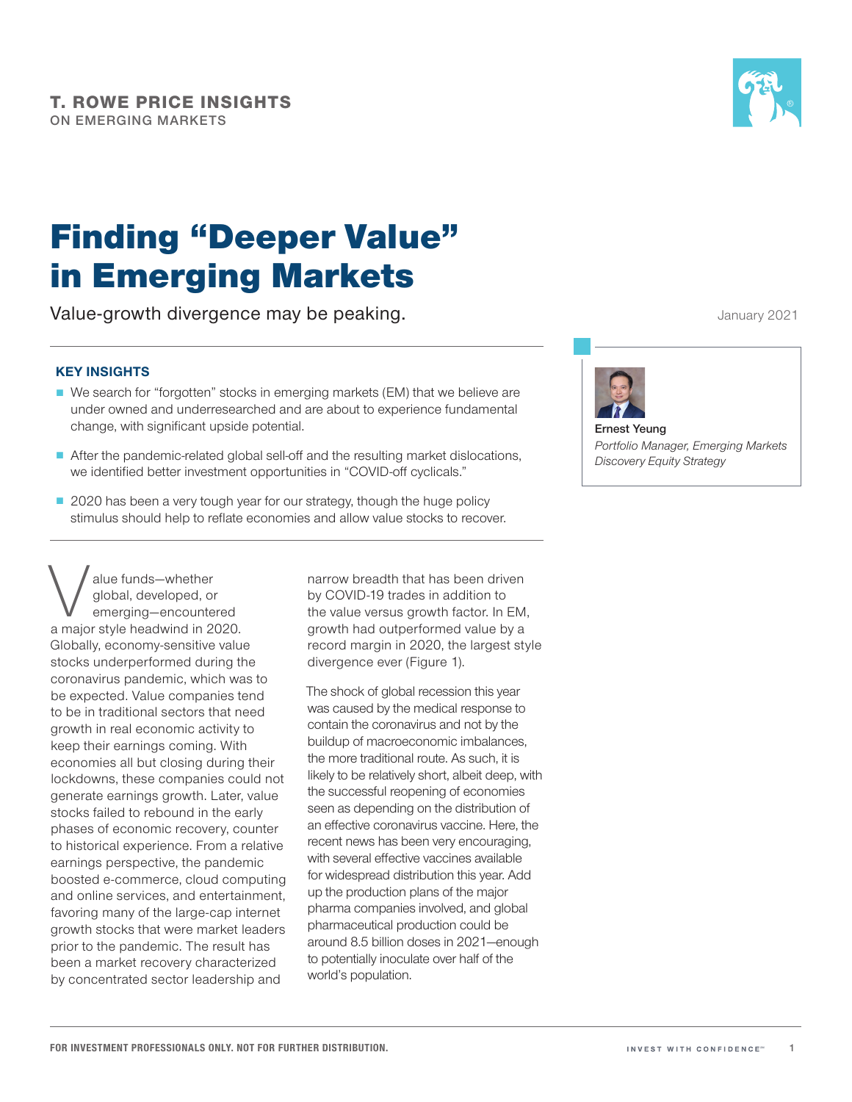

# Finding "Deeper Value" in Emerging Markets

Value‑growth divergence may be peaking.

### **KEY INSIGHTS**

- We search for "forgotten" stocks in emerging markets (EM) that we believe are under owned and underresearched and are about to experience fundamental change, with significant upside potential.
- After the pandemic-related global sell-off and the resulting market dislocations, we identified better investment opportunities in "COVID-off cyclicals."
- 2020 has been a very tough year for our strategy, though the huge policy stimulus should help to reflate economies and allow value stocks to recover.

Alue funds—whether<br>global, developed, or<br>emerging—encounte<br>a major style headwind in 20 global, developed, or emerging—encountered a major style headwind in 2020. Globally, economy‑sensitive value stocks underperformed during the coronavirus pandemic, which was to be expected. Value companies tend to be in traditional sectors that need growth in real economic activity to keep their earnings coming. With economies all but closing during their lockdowns, these companies could not generate earnings growth. Later, value stocks failed to rebound in the early phases of economic recovery, counter to historical experience. From a relative earnings perspective, the pandemic boosted e‑commerce, cloud computing and online services, and entertainment, favoring many of the large-cap internet growth stocks that were market leaders prior to the pandemic. The result has been a market recovery characterized by concentrated sector leadership and

narrow breadth that has been driven by COVID‑19 trades in addition to the value versus growth factor. In EM, growth had outperformed value by a record margin in 2020, the largest style divergence ever (Figure 1).

The shock of global recession this year was caused by the medical response to contain the coronavirus and not by the buildup of macroeconomic imbalances, the more traditional route. As such, it is likely to be relatively short, albeit deep, with the successful reopening of economies seen as depending on the distribution of an effective coronavirus vaccine. Here, the recent news has been very encouraging, with several effective vaccines available for widespread distribution this year. Add up the production plans of the major pharma companies involved, and global pharmaceutical production could be around 8.5 billion doses in 2021—enough to potentially inoculate over half of the world's population.

January 2021



**Ernest Yeung** *Portfolio Manager, Emerging Markets Discovery Equity Strategy*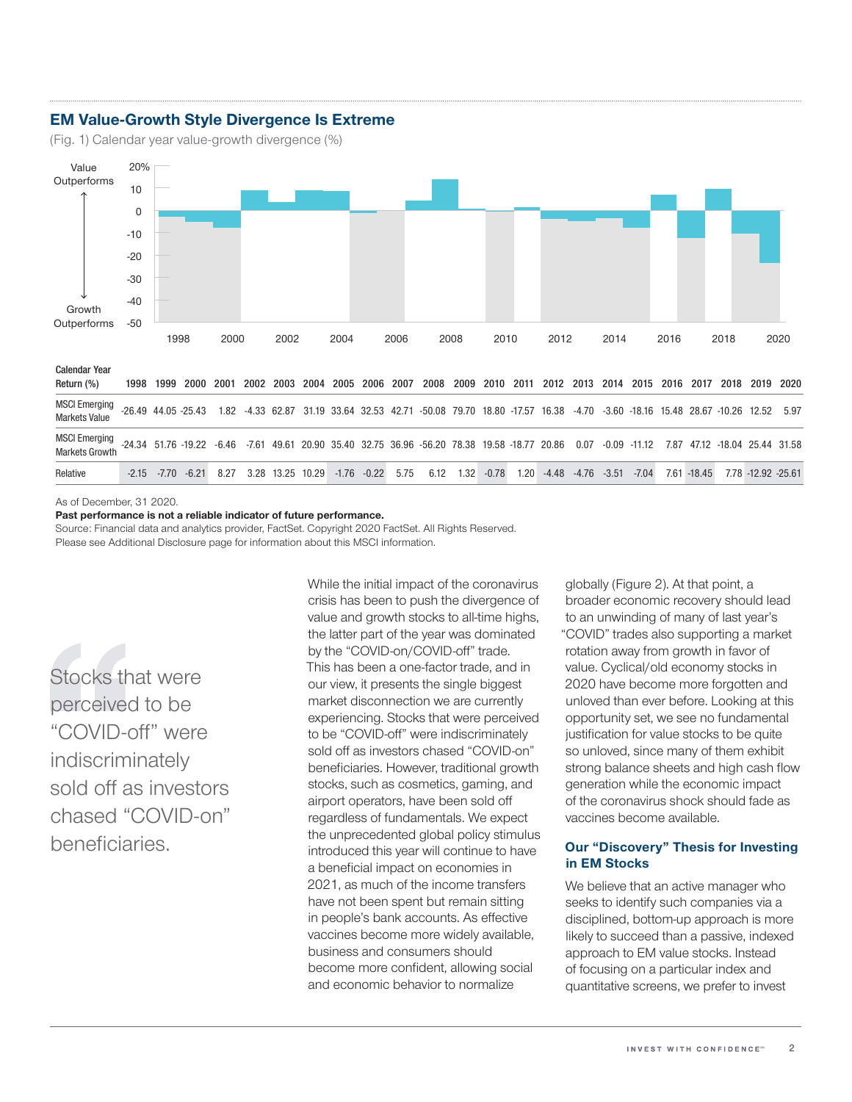### **EM Value-Growth Style Divergence Is Extreme**

(Fig. 1) Calendar year value-growth divergence (%)



As of December, 31 2020.

**Past performance is not a reliable indicator of future performance.**

Source: Financial data and analytics provider, FactSet. Copyright 2020 FactSet. All Rights Reserved. Please see Additional Disclosure page for information about this MSCI information.

Stocks that were perceived to be "COVID-off" were indiscriminately sold off as investors chased "COVID-on" beneficiaries.

While the initial impact of the coronavirus crisis has been to push the divergence of value and growth stocks to all-time highs, the latter part of the year was dominated by the "COVID-on/COVID-off" trade. This has been a one-factor trade, and in our view, it presents the single biggest market disconnection we are currently experiencing. Stocks that were perceived to be "COVID‑off" were indiscriminately sold off as investors chased "COVID-on" beneficiaries. However, traditional growth stocks, such as cosmetics, gaming, and airport operators, have been sold off regardless of fundamentals. We expect the unprecedented global policy stimulus introduced this year will continue to have a beneficial impact on economies in 2021, as much of the income transfers have not been spent but remain sitting in people's bank accounts. As effective vaccines become more widely available, business and consumers should become more confident, allowing social and economic behavior to normalize

globally (Figure 2). At that point, a broader economic recovery should lead to an unwinding of many of last year's "COVID" trades also supporting a market rotation away from growth in favor of value. Cyclical/old economy stocks in 2020 have become more forgotten and unloved than ever before. Looking at this opportunity set, we see no fundamental justification for value stocks to be quite so unloved, since many of them exhibit strong balance sheets and high cash flow generation while the economic impact of the coronavirus shock should fade as vaccines become available.

#### **Our "Discovery" Thesis for Investing in EM Stocks**

We believe that an active manager who seeks to identify such companies via a disciplined, bottom-up approach is more likely to succeed than a passive, indexed approach to EM value stocks. Instead of focusing on a particular index and quantitative screens, we prefer to invest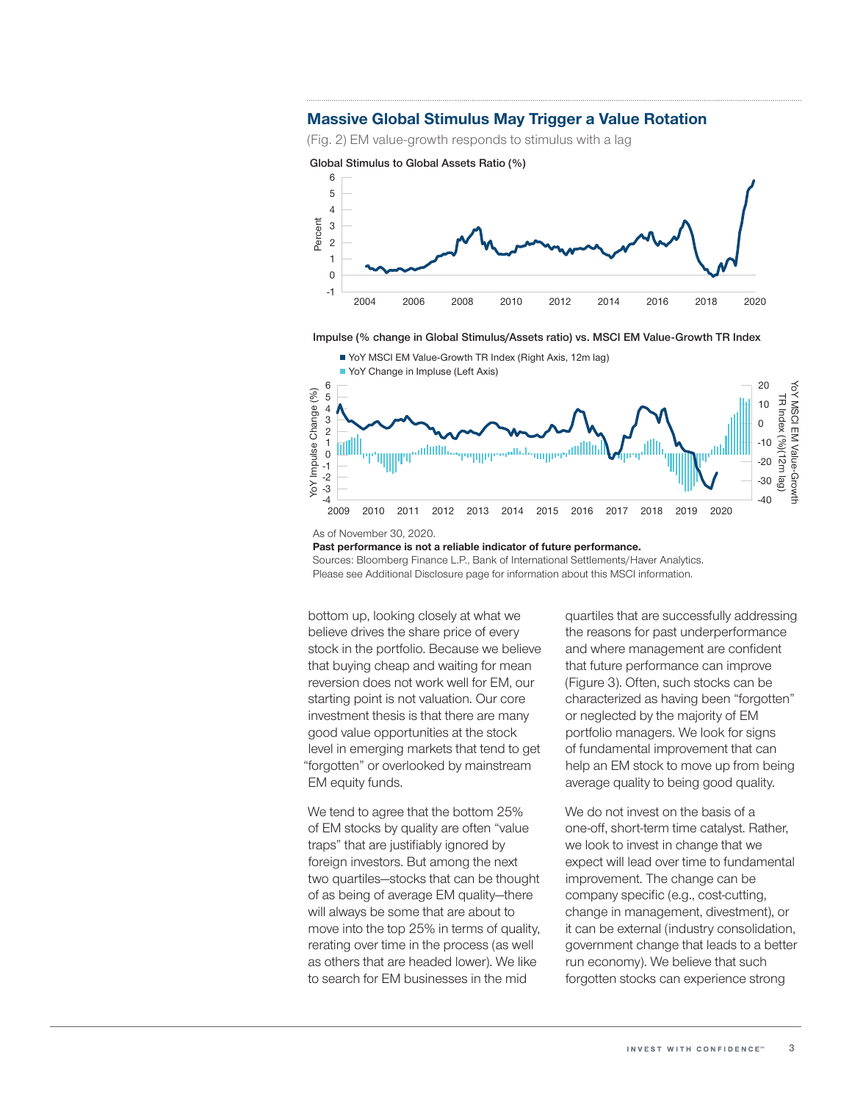#### **Massive Global Stimulus May Trigger a Value Rotation**

(Fig. 2) EM value-growth responds to stimulus with a lag









**Past performance is not a reliable indicator of future performance.**

Sources: Bloomberg Finance L.P., Bank of International Settlements/Haver Analytics. Please see Additional Disclosure page for information about this MSCI information.

bottom up, looking closely at what we believe drives the share price of every stock in the portfolio. Because we believe that buying cheap and waiting for mean reversion does not work well for EM, our starting point is not valuation. Our core investment thesis is that there are many good value opportunities at the stock level in emerging markets that tend to get "forgotten" or overlooked by mainstream EM equity funds.

We tend to agree that the bottom 25% of EM stocks by quality are often "value traps" that are justifiably ignored by foreign investors. But among the next two quartiles—stocks that can be thought of as being of average EM quality—there will always be some that are about to move into the top 25% in terms of quality, rerating over time in the process (as well as others that are headed lower). We like to search for EM businesses in the mid

quartiles that are successfully addressing the reasons for past underperformance and where management are confident that future performance can improve (Figure 3). Often, such stocks can be characterized as having been "forgotten" or neglected by the majority of EM portfolio managers. We look for signs of fundamental improvement that can help an EM stock to move up from being average quality to being good quality.

We do not invest on the basis of a one‑off, short‑term time catalyst. Rather, we look to invest in change that we expect will lead over time to fundamental improvement. The change can be company specific (e.g., cost-cutting, change in management, divestment), or it can be external (industry consolidation, government change that leads to a better run economy). We believe that such forgotten stocks can experience strong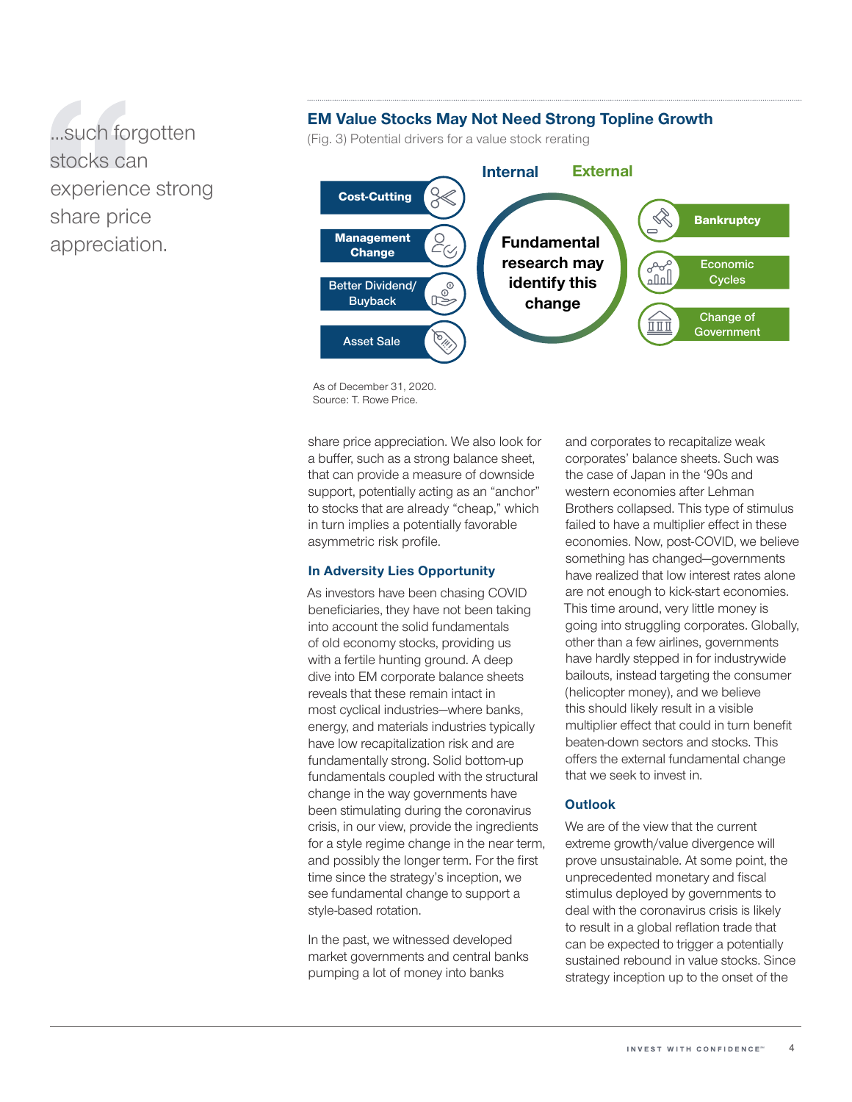# ...such forgotten stocks can experience strong share price appreciation.

## **EM Value Stocks May Not Need Strong Topline Growth**

(Fig. 3) Potential drivers for a value stock rerating



As of December 31, 2020. Source: T. Rowe Price.

share price appreciation. We also look for a buffer, such as a strong balance sheet, that can provide a measure of downside support, potentially acting as an "anchor" to stocks that are already "cheap," which in turn implies a potentially favorable asymmetric risk profile.

#### **In Adversity Lies Opportunity**

As investors have been chasing COVID beneficiaries, they have not been taking into account the solid fundamentals of old economy stocks, providing us with a fertile hunting ground. A deep dive into EM corporate balance sheets reveals that these remain intact in most cyclical industries—where banks, energy, and materials industries typically have low recapitalization risk and are fundamentally strong. Solid bottom‑up fundamentals coupled with the structural change in the way governments have been stimulating during the coronavirus crisis, in our view, provide the ingredients for a style regime change in the near term, and possibly the longer term. For the first time since the strategy's inception, we see fundamental change to support a style‑based rotation.

In the past, we witnessed developed market governments and central banks pumping a lot of money into banks

and corporates to recapitalize weak corporates' balance sheets. Such was the case of Japan in the '90s and western economies after Lehman Brothers collapsed. This type of stimulus failed to have a multiplier effect in these economies. Now, post‑COVID, we believe something has changed—governments have realized that low interest rates alone are not enough to kick‑start economies. This time around, very little money is going into struggling corporates. Globally, other than a few airlines, governments have hardly stepped in for industrywide bailouts, instead targeting the consumer (helicopter money), and we believe this should likely result in a visible multiplier effect that could in turn benefit beaten‑down sectors and stocks. This offers the external fundamental change that we seek to invest in.

#### **Outlook**

We are of the view that the current extreme growth/value divergence will prove unsustainable. At some point, the unprecedented monetary and fiscal stimulus deployed by governments to deal with the coronavirus crisis is likely to result in a global reflation trade that can be expected to trigger a potentially sustained rebound in value stocks. Since strategy inception up to the onset of the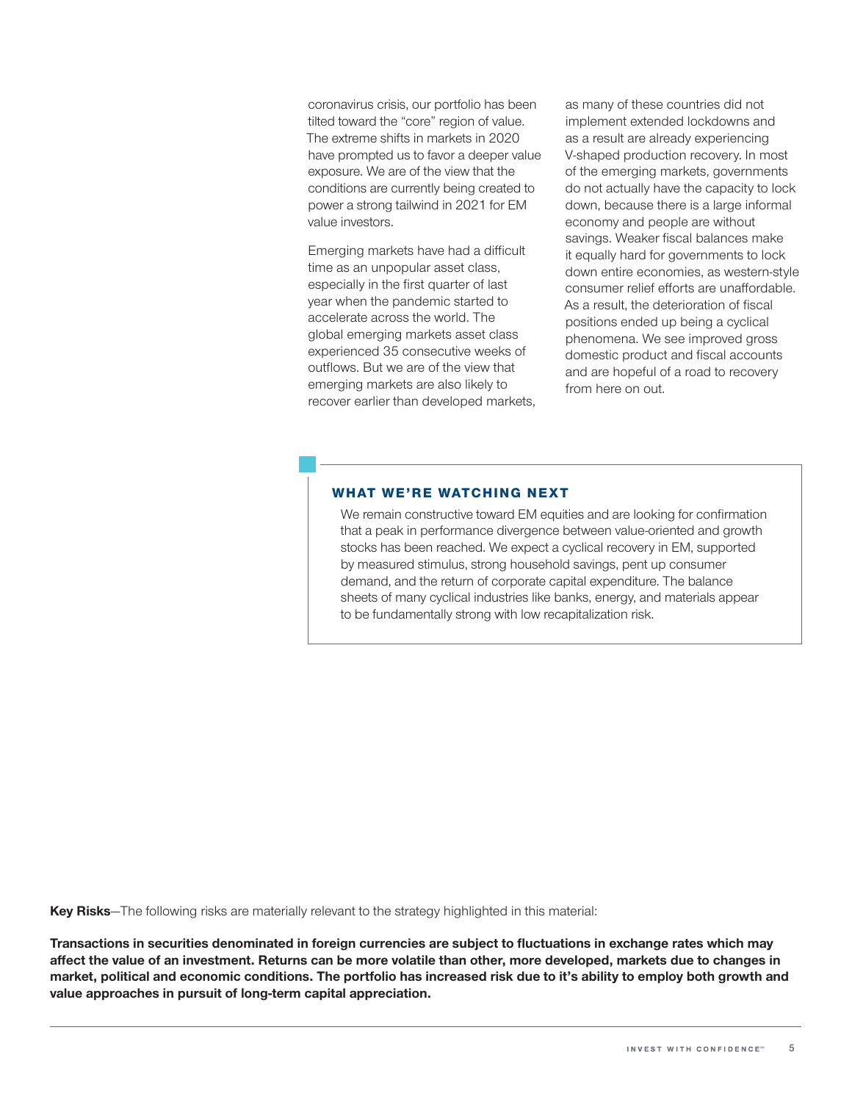coronavirus crisis, our portfolio has been tilted toward the "core" region of value. The extreme shifts in markets in 2020 have prompted us to favor a deeper value exposure. We are of the view that the conditions are currently being created to power a strong tailwind in 2021 for EM value investors.

Emerging markets have had a difficult time as an unpopular asset class, especially in the first quarter of last year when the pandemic started to accelerate across the world. The global emerging markets asset class experienced 35 consecutive weeks of outflows. But we are of the view that emerging markets are also likely to recover earlier than developed markets, as many of these countries did not implement extended lockdowns and as a result are already experiencing V‑shaped production recovery. In most of the emerging markets, governments do not actually have the capacity to lock down, because there is a large informal economy and people are without savings. Weaker fiscal balances make it equally hard for governments to lock down entire economies, as western-style consumer relief efforts are unaffordable. As a result, the deterioration of fiscal positions ended up being a cyclical phenomena. We see improved gross domestic product and fiscal accounts and are hopeful of a road to recovery from here on out.

#### WHAT WE'RE WATCHING NEXT

We remain constructive toward EM equities and are looking for confirmation that a peak in performance divergence between value-oriented and growth stocks has been reached. We expect a cyclical recovery in EM, supported by measured stimulus, strong household savings, pent up consumer demand, and the return of corporate capital expenditure. The balance sheets of many cyclical industries like banks, energy, and materials appear to be fundamentally strong with low recapitalization risk.

**Key Risks**—The following risks are materially relevant to the strategy highlighted in this material:

**Transactions in securities denominated in foreign currencies are subject to fluctuations in exchange rates which may affect the value of an investment. Returns can be more volatile than other, more developed, markets due to changes in market, political and economic conditions. The portfolio has increased risk due to it's ability to employ both growth and value approaches in pursuit of long-term capital appreciation.**